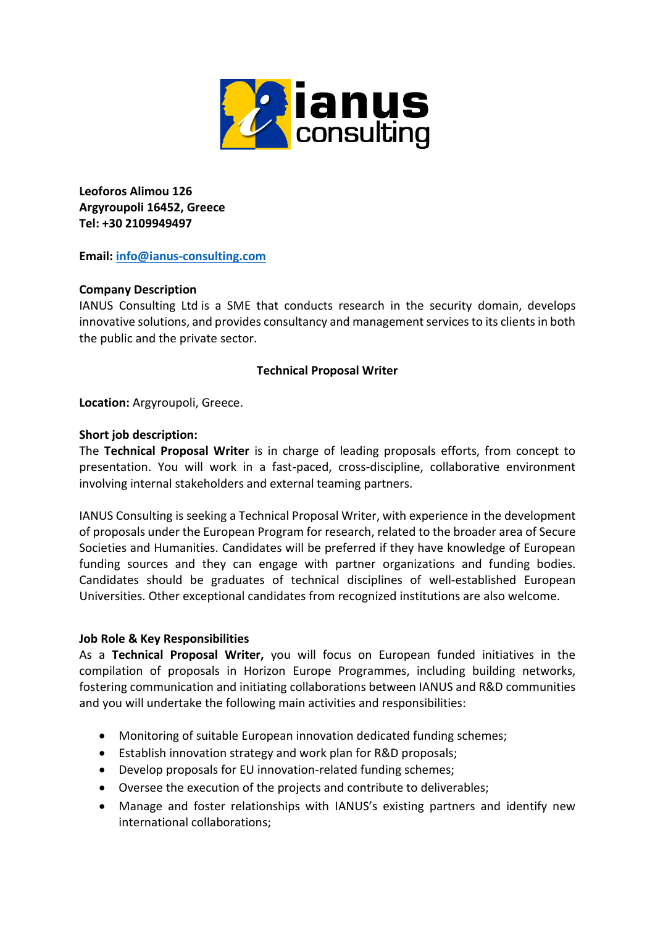

**Leoforos Alimou 126 Argyroupoli 16452, Greece Tel: +30 2109949497**

**Email: [info@ianus-consulting.com](mailto:info@ianus-consulting.com)**

## **Company Description**

IANUS Consulting Ltd is a SME that conducts research in the security domain, develops innovative solutions, and provides consultancy and management services to its clients in both the public and the private sector.

## **Technical Proposal Writer**

**Location:** Argyroupoli, Greece.

### **Short job description:**

The **Technical Proposal Writer** is in charge of leading proposals efforts, from concept to presentation. You will work in a fast-paced, cross-discipline, collaborative environment involving internal stakeholders and external teaming partners.

IANUS Consulting is seeking a Technical Proposal Writer, with experience in the development of proposals under the European Program for research, related to the broader area of Secure Societies and Humanities. Candidates will be preferred if they have knowledge of European funding sources and they can engage with partner organizations and funding bodies. Candidates should be graduates of technical disciplines of well-established European Universities. Other exceptional candidates from recognized institutions are also welcome.

### **Job Role & Key Responsibilities**

As a **Technical Proposal Writer,** you will focus on European funded initiatives in the compilation of proposals in Horizon Europe Programmes, including building networks, fostering communication and initiating collaborations between IANUS and R&D communities and you will undertake the following main activities and responsibilities:

- Monitoring of suitable European innovation dedicated funding schemes;
- Establish innovation strategy and work plan for R&D proposals;
- Develop proposals for EU innovation-related funding schemes;
- Oversee the execution of the projects and contribute to deliverables;
- Manage and foster relationships with IANUS's existing partners and identify new international collaborations;